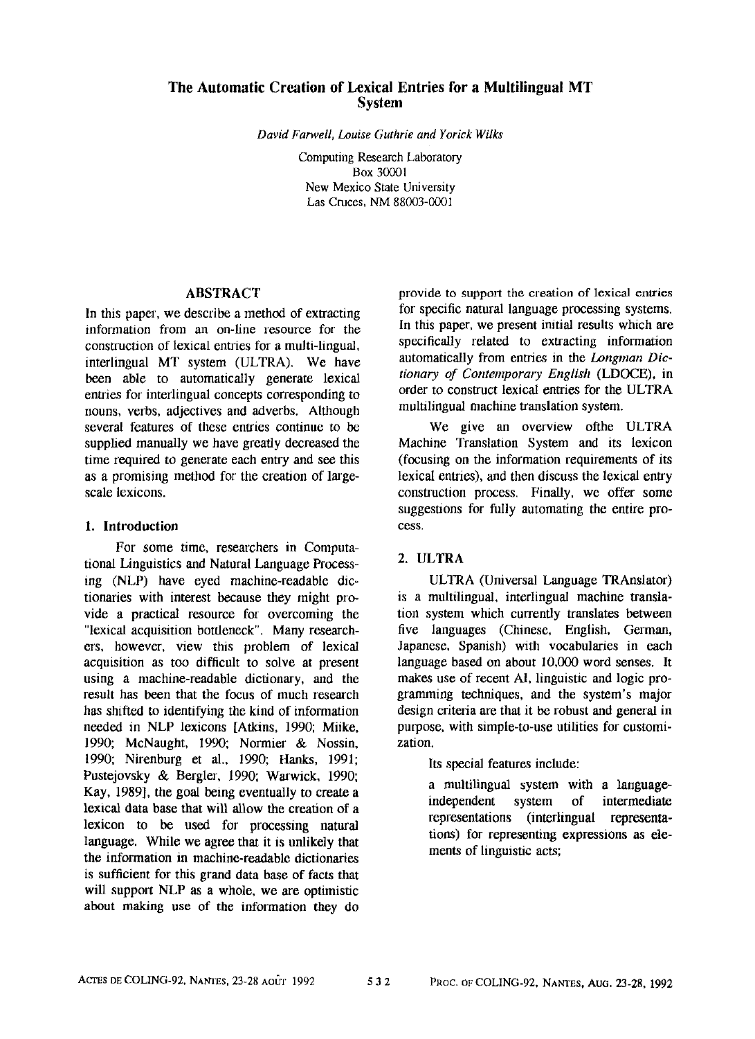# **The Automatic Creation of Lexical Entries for a Multilingual MT**  System

*David Farwell, Louise Guthrie and Yorick Wilks* 

Computing Research Laboratory Box 30001 New Mexico State University Las Cruces, NM 88003-0001

### ABSTRACT

In this paper, we describe a method of extracting information from an on-line resource for the construction of lexical entries for a multi-lingual. interlingual MT system (ULTRA). We have been able to automatically generate lexical entries for interlingual concepts corresponding to nouns, verbs, adjectives and adverbs. Although several features of these entries continue to be supplied manually we have greatly decreased the time required to generate each entry and see this as a promising method for the creation of largescale lexicons.

## **1. Introduction**

For some time, researchers in Computational Linguistics and Natural Language Processing (NLP) have eyed machine-readable dictionaries with interest because they might provide a practical resource for overcoming the "lexical acquisition bottleneck". Many researchers, however, view this problem of lexical acquisition as too difficult to solve at present using a machine-readable dictionary, and the result has been that the focus of much research has shifted to identifying the kind of information needed in NLP lexicons [Atkins, 1990; Miike, 1990; McNaught, 1990; Normier & Nossin, 1990; Nirenburg et al., 1990; Hanks, 1991; Pustejovsky & Bergler, 1990; Warwick, 1990; Kay, 1989], the goal being eventually to create a lexical data base that will allow the creation of a lexicon to be used for processing natural language. While we agree that it is unlikely that the information in machine-readable dictionaries is sufficient for this grand data base of facts that will support NLP as a whole, we are optimistic about making use of the information they do

provide to support the creation of lexical entries for specific natural language processing systems. In this paper, we present initial results which are specifically related to extracting information automatically from entries in the *Longman Dictionary of Contemporary English* (LDOCE), in order to construct lexical entries for the ULTRA multilingual machine translation system.

We give an overview ofthe ULTRA Machine Translation System and its lexicon (focusing on the information requirements of its lexical entries), and then discuss the lexical entry construction process. Finally, we offer some suggestions for fully automating the entire process.

### 2. ULTRA

ULTRA (Universal Language TRAnslator) is a multilingual, interlingual machine translation system which currently translates between five languages (Chinese, English, German, Japanese, Spanish) with vocabularies in each language based on about 10,000 word senses. It makes use of recent AI, linguistic and logic programming techniques, and the system's major design criteria are that it be robust and general in purpose, with simple-to-use utilities for customization.

Its special features include:

a multilingual system with a languageindependent system of intermediate representations (interlingual representations) for representing expressions as elements of linguistic acts;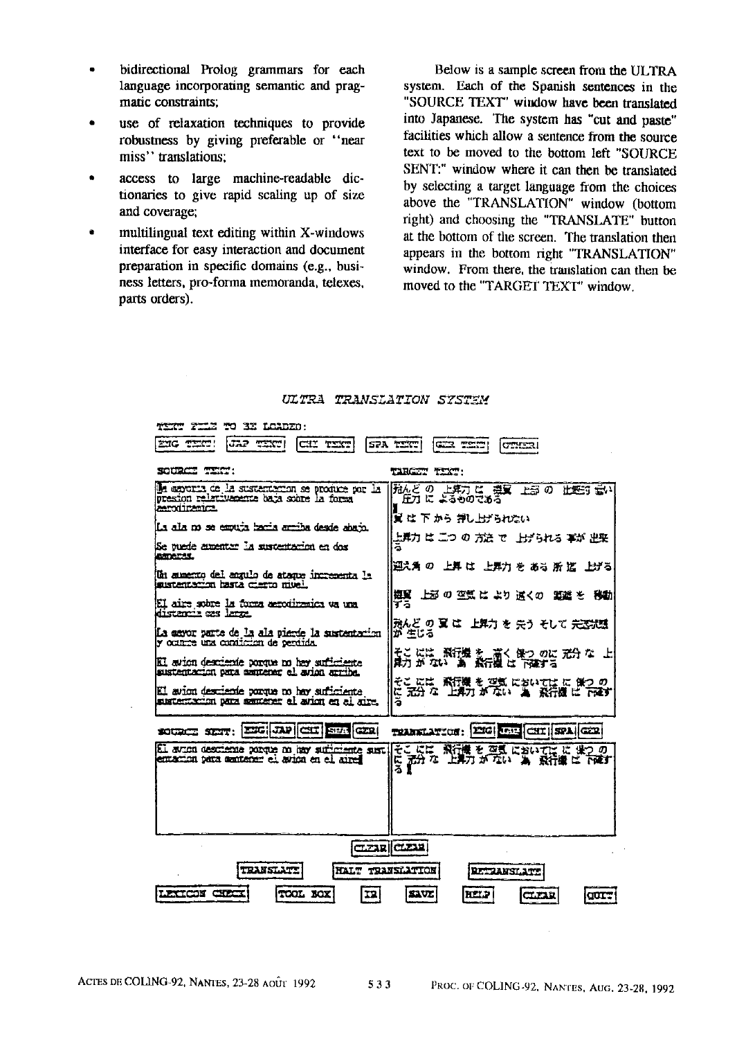- bidirectional Prolog grammars for each language incorporating semantic and pragmatic constraints;
- use of relaxation techniques to provide robustness by giving preferable or "near miss" translations;
- access to large machine-readable dictionaries to give rapid scaling up of size and coverage;
- multilingual text editing within X-windows interface for easy interaction and document preparation in specific domains (e.g., business letters, pro-forma memoranda, telexes, parts orders).

Below is a sample screen from the ULTRA system. Each of the Spanish sentences in the "SOURCE TEXT" window have been translated into Japanese. The system has "cut and paste" facilities which allow a sentence from the source text to be moved to the bottom left "SOURCE SENT:" window where it can then be translated by selecting a target language from the choices above the "TRANSLATION" window (bottom right) and choosing the "TRANSLATE" button at the bottom of the screen. The translation then appears in the bottom right "TRANSLATION" window. From there, the translation can then be moved to the "TARGET TEXT' window.



#### ULTRA TRANSLATION SYSTEM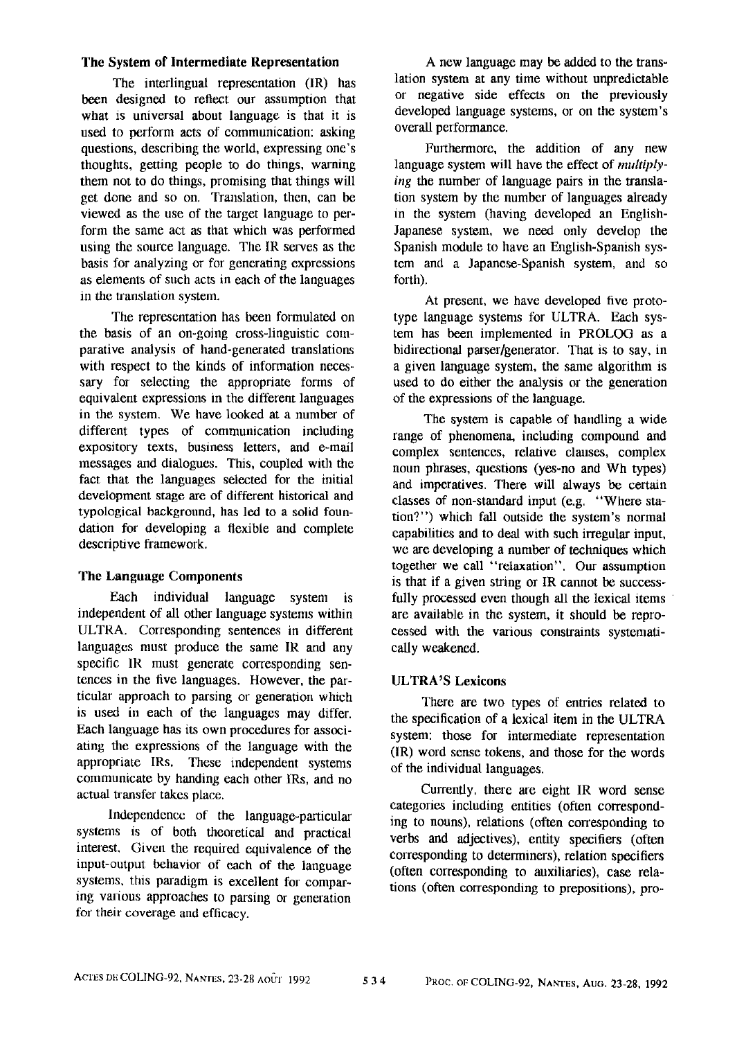### The System of Intermediate Representation

The interlingual representation (IR) has been designed to reflect our assumption that what is universal about language is that it is used to perform acts of communication: asking questions, describing the world, expressing one's thoughts, getting people to do things, warning them not to do things, promising that things will get done and so on. Translation, then, can be viewed as the use of the target language to perform the same act as that which was performed using the source language. The IR serves as the basis for analyzing or for generating expressions as elements of such acts in each of the languages in the translation system.

The representation has been formulated on the basis of an on-going cross-linguistic comparative analysis of hand-generated translations with respect to the kinds of information necessary for selecting the appropriate forms of equivalent expressions in the different languages in the system. We have looked at a number of different types of communication including expository texts, business letters, and e-mail messages and dialogues. This, coupled with the fact that the languages selected for the initial development stage are of different historical and typological background, has led to a solid foundation for developing a flexible and complete descriptive framework.

### The Language Components

Each individual language system is independent of all other language systems within ULTRA. Corresponding sentences in different languages must produce the same IR and any specific 1R must generate corresponding sentences in the five languages. However, the particular approach to parsing or generation which is used m each of the languages may differ. Each language has its own procedures for associating the expressions of the language with the appropriate IRs. These independent systems communicate by handing each other IRs, and no actual transfer takes place.

Independence of the language-particular systems is of both theoretical and practical interest. Given the required equivalence of the input-output behavior of each of the language systems, this paradigm is excellent for comparing various approaches to parsing or generation for their coverage and efficacy.

A new language may be added to the translation system at any time without unpredictable or negative side effects on the previously developed language systems, or on the system's overall performance.

Furthermore, the addition of any new language system will have the effect of *multiplying the* number of language pairs in the translation system by the number of languages already in the system (having developed an English-Japanese system, we need only develop the Spanish module to have an English-Spanish system and a Japanese-Spanish system, and so forth).

At present, we have developed five prototype language systems for ULTRA. Each system has been implemented in PROLOG as a bidirectional parser/generator. That is to say, in a given language system, the same algorithm is used to do either the analysis or the generation of the expressions of the language.

The system is capable of handling a wide range of phenomena, including compound and complex sentences, relative clauses, complex noun phrases, questions (yes-no and Wh types) and imperatives. There will always be certain classes of non-standard input (e.g. "Where station?") which fall outside the system's normal capabilities and to deal with such irregular input, we are developing a number of techniques which together we call "relaxation". Our assumption is that if a given string or IR cannot be successfully processed even though all the lexical items are available in the system, it should be reprocessed with the various constraints systematically weakened.

### *ULTRA 'S* Lexicons

There are two types of entries related to the specification of a lexical item in the ULTRA system: those for intermediate representation (IR) word sense tokens, and those for the words of the individual languages.

Currently, there are eight IR word sense categories including entities (often corresponding to nouns), relations (often corresponding to verbs and adjectives), entity specifiers (often corresponding to determiners), relation specifiers (often corresponding to auxiliaries), case relations (often corresponding to prepositions), pro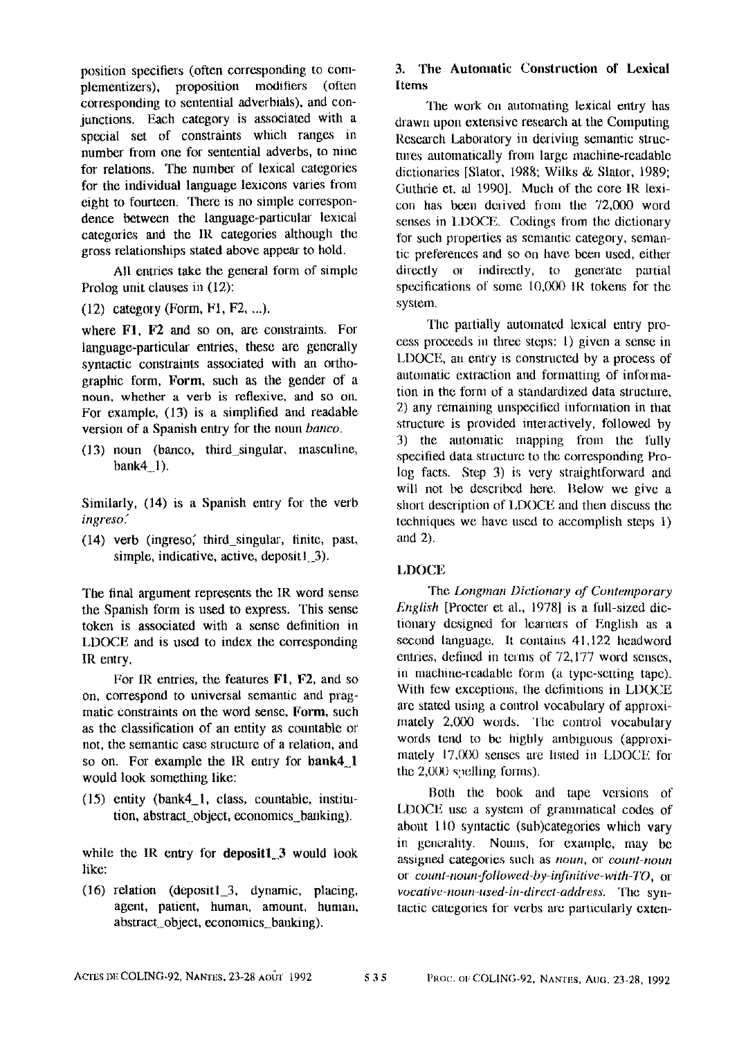position specifiers (often corresponding to complementizers), proposition modifiers (often corresponding to sentential adverbials), and conjunctions. Each category is associated with a special set of constraints which ranges in number fiom one for sentential adverbs, to nine for relations. The number of lexical categories for the individual language lexicons varies from eight to fourteen. There is no simple correspondence between the language-particular lexical categories and the IR categories although the gross relationships stated above appear to hold.

All entries take the general form of simple Prolog unit clauses in (12):

(12) category (Form, F1, F2, ...).

where FI, F2 and so on, are constraints. For language-particular entries, these are generally syntactic constraints associated with an orthographic form, Form, such as the gender of a noun, whether a verb is reflexive, and so on. For example, (13) is a simplified and readable version of a Spanish entry for the noun *banco*.

 $(13)$  noun (banco, third\_singular, masculine, bank $4$  1).

Similarly, (14) is a Spanish entry for the verb *ingreso:* 

 $(14)$  verb (ingreso, third singular, finite, past, simple, indicative, active, depositl 3).

The final argument represents the IR word sense the Spanish form is used to express. This sense token is associated with a sense definition in LDOCE and is used to index the corresponding IR entry.

For IR entries, tbe features FI, F2, and so on, correspond to universal semantic and pragmatic constraints on the word sense, Form, such as the classification of an entity as countable or not, the semantic case structure of a relation, and so on. For example the IR entry for bank4 1 would look something like:

(15) entity (bank4\_l, class, countable, institution, abstract\_object, economics\_banking).

while the IR entry for deposit1  $3$  would look like:

(16) relation (depositl\_3, dynamic, placing, agent, patient, human, amount, human, abstract \_object, economies\_banking).

# 3. The Automatic Construction of Lexieal Items

The work on automating lexical entry has drawn upon extensive research at the Computing Research Laboratory in deriving semantic struetures automatically from large machine-readable dictionaries [Slator, 1988; Wilks & Slator, 1989; Guthrie et. al 1990]. Much of the core IR lexicon has been derived from the 72,000 word senses in LDOCE. Codings from the dictionary for such properties as semantic category, semantic preferences and so on have been used, either directly or indirectly, to generate partial specifications of some 10,000 IR tokens for the system.

The partially antomated lexical entry proeess proceeds in three steps: 1) given a sense in LDOCE, an entry is constructed by a process of automatic extraction and formatting of intormation in the foml of a standardized data structure, 2) any remaining unspecified information in that structure is provided interactively, followed by 3) the automatic mapping from the fuUy specified data structure to the corresponding Prolog facts. Step 3) is very straightforward and will not be described here. Below we give a short description of LDOCE and then discuss the techniques we have used to accomplish steps 1) and 2).

### LDOCE

The *Longman Dictionary of Contemporary English* [Procter et al., 1978] is a full-sized dictionary designed for learners of English as a second language. It contains 41,122 headword entries, defined in terms of 72,177 word senses. m machine-readable form (a type-setting tape). With few exceptions, the definitions in LDOCE are stated using a control vocabulary of approximately 2,000 words. The control vocabulary words tend to bc highly ambiguous (approximately 17,000 senses are listed in LDOCE for the  $2,000$  syelling forms).

Both the book and tape versions of LDOCE use a system of grammatical codes of about 110 syntactic (sub)categories which vary in generality. Nouns, for example, may be assigned categories such as *noun*, or *count-noun* or *count-noun-followed-by-infinitive-with-TO, or vocative-noun-used-in-direct-address.* The syntactic categories for verbs are particularly exten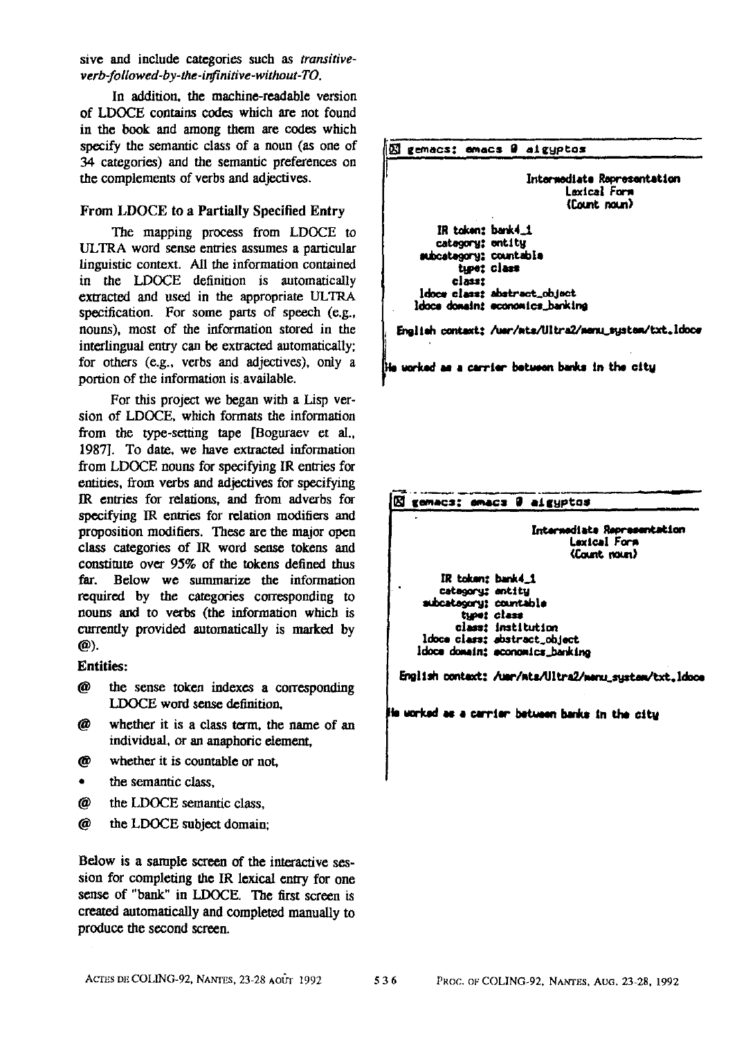sire and include categories such as *transitiveverb-followed-by-the-infinitive-without-TO.* 

In addition, the machine-readable version of LDOCE contains codes which are not found in the book and among them are codes which specify the semantic class of a noun (as one of 34 categories) and the semantic preferences on the complements of verbs and adjectives.

### From LDOCE to a Partially Specified Entry

The mapping process from LDOCE to ULTRA word sense entries assumes a particular linguistic context. All the information contained in the LDOCE defimtion is automatically extracted and used in the appropriate ULTRA specification. For some parts of speech (e.g., nouns), most of the information stored in the interlingual entry can be extracted automatically; for others (e.g., verbs and adjectives), only a portion of the information is available.

For this project we began with a Lisp version of LDOCE, which formats the information from the type-setting tape [Boguraev et al., 1987]. To date, we have extracted information from LDOCE nouns for specifying IR entries for entities, from verbs and adjectives for specifying IR entries for relations, and from adverbs for specifying IR entries for relation modifiers and proposition modifiers. These are the major open class categories of IR word sense tokens and constitute over 95% of the tokens defined thus far. Below we summarize the information required by the categories corresponding to nouns and to verbs (the information which is currently provided automatically is marked by @).

### **Entities:**

- @ the sense token indexes a corresponding I.DOCE word sense definition,
- @ whether it is a class term, the name of an individual, or an anaphoric element,
- @ whether it is countable or not,
- the semantic class.
- @ the LDOCE semantic class,
- @ the LDOCE subject domain;

Below is a sample screen of the interactive session for completing the IR lexical entry for one sense of "bank" in LDOCE. The first screen is created automatically and completed manually to produce the second screen.



 $\mathbf H$  worked as a carrier between banks in the city

**RI t~c=: m~= 0 atzyptas** 

Intermediate Representation Lexical Fars (Count noun)

IR token: bank4\_1 category: entity mubcategory: countable type: class class: institution **ldoce cim: abstract.obJect**  ldoce dowain: economics\_banking

English context: /uer/mts/Ultra2/menu\_sustam/txt.ldoce

ile worked as a carrier between banks in the city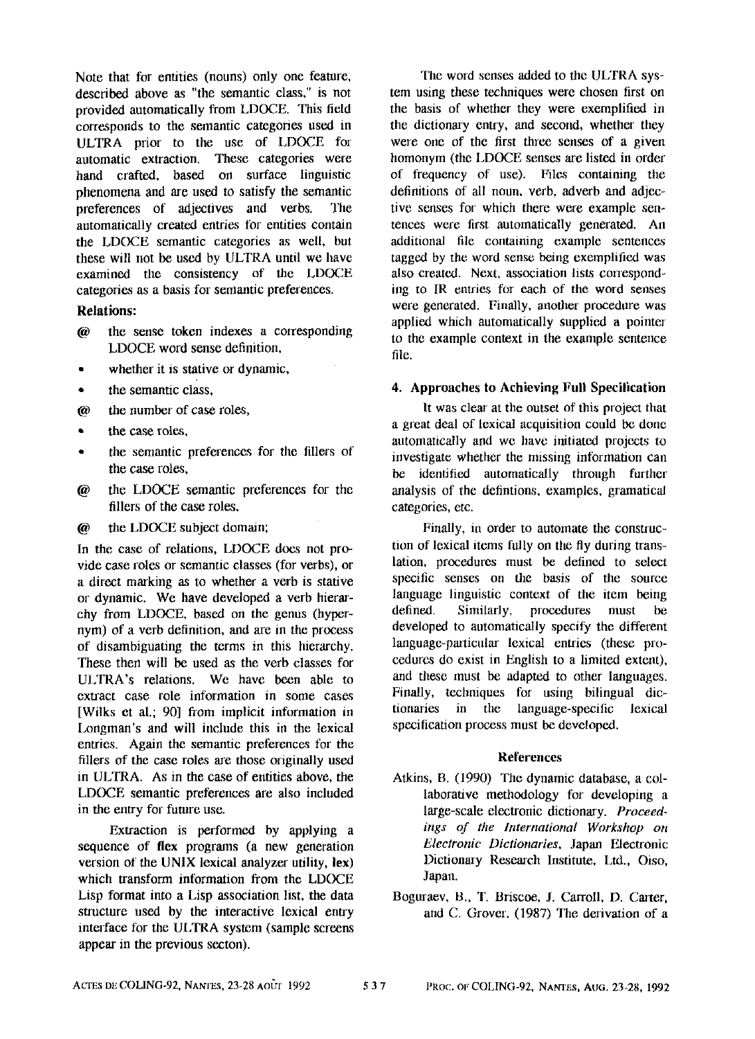Note that for entities (nouns) only one feature, described above as "the semantic class," is not provided automatically from LDOCE. This field corresponds to the semantic categories used in ULTRA prior to the use of LDOCE for automatic extraction. These categories were hand crafted, based on surface linguistic phenomena and are used to satisfy the semantic preferences of adjectives and verbs. The automatically created entries tot entities contain the LDOCE semantic categories as well, but these will not be used by ULTRA until we have examined the consistency of the LDOCE categories as a basis for semantic preferences.

### **Relations:**

- @ the sense token indexes a corresponding LDOCE word sense definition,
- whether it is stative or dynamic,
- the semantic class.
- @ the number of case roles,
- the case roles.
- the semantic preferences for the fillers of the case roles,
- @ the LDOCE semantic preferences for the fillers of the case roles,
- @ the LDOCE subject domain;

In the case of relations, LDOCE does not provide case roles or semantic classes (for verbs), or a direct marking as to whether a verb is stative or dynamic. We have developed a verb hierarchy from LDOCE, based on the genus (hypernym) of a verb definition, and are in the process of disambiguating the terms in this hierarchy. These then will be used as the verb classes for ULTRA's relations. We have been able to extract case role information in some cases [Wilks et al.; 90] from implicit information in Longman's and will include this in the lexical entries. Again the semantic preferences for the fillers of the case roles are those originally used in ULTRA. As in the case of entities above, the LDOCE semantic preferences are also included in the entry for future use.

Extraction is performed by applying a sequence of flex programs (a new generation version of the UNIX lexical analyzer utility, lex) which transform information from the LDOCE Lisp format into a Lisp association list, the data structure used by the interactive lexical entry interface for the ULTRA system (sample screens appear in the previous secton).

The word senses added to the ULTRA system using these techniques were chosen first on the basis of whether they were exemplified in the dictionary entry, and second, whether they were one of the first three senses of a given homonym (the LDOCE senses are listed in order of frequency of use). Files containing the definitions of all noun. verb, adverb and adjective senses for which there were example sentences were first automatically generated. An additional file containing example sentences tagged by the word sense being exemplified was also created. Next, association lists conesponding to IR entries for each of the word senses were generated. Finally, another procedure was applied which automatically supplied a pointer to the example context in the example sentence file.

#### **4. Approaches to Achieving Full Specilication**

It was clear at the outset of this project that a great deal of lexical acquisition could be done automatically and we have initiated projects to investigate whether the missing information can be identified automatically through further analysis of the defintions, examples, gramatical categories, etc.

Finally, in order to automate the construction of lexical items fully on the fly during translation, procedures must be defined to select specific senses on the basis of the source language linguistic context of the item being defined. Similarly, procedures must be developed to automatically specify the different language-particular lexical entries (these procedures do exist in English to a limited extent), and these must be adapted to other langnages. Finally, tecbniques for using bilingual dictionaries in the language-specific lexical specification process must be developed.

#### **References**

- Atkins, B. (1990) The dynamic database, a collaborative methodology for developing a large-scale electronic dictionary. *Proceedings of the International Workshop on Electronic Dictionaries,* Japan Electronic Dictionary Research Institute, Ltd., Oiso, Japan.
- Boguraev, B., T. Briscoe, J, Carroll, D. Carter, and C. Grover.  $(1987)$  The derivation of a